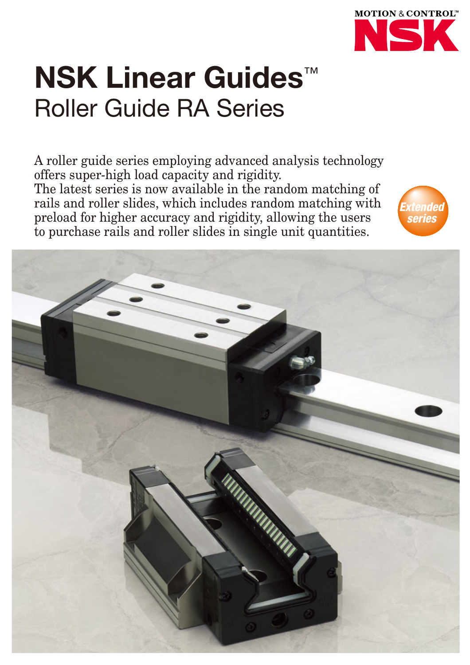

# **NSK Linear Guides**™ Roller Guide RA Series

A roller guide series employing advanced analysis technology offers super-high load capacity and rigidity. The latest series is now available in the random matching of rails and roller slides, which includes random matching with preload for higher accuracy and rigidity, allowing the users to purchase rails and roller slides in single unit quantities.



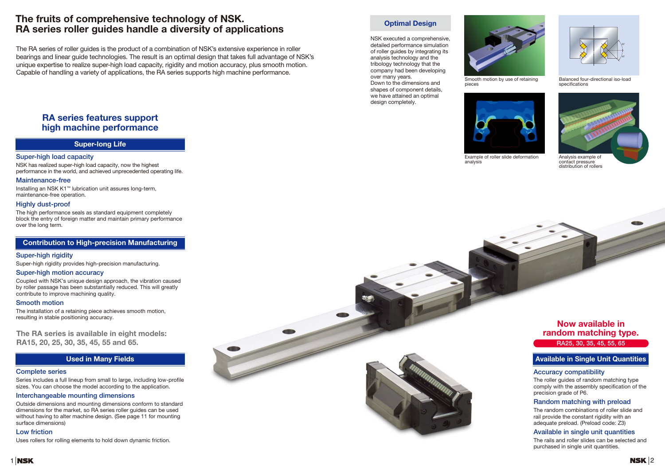# **RA series features support high machine performance**



**The RA series is available in eight models: RA15, 20, 25, 30, 35, 45, 55 and 65.**

### **Contribution to High-precision Manufacturing**

### **Super-long Life**







The rails and roller slides can be selected and purchased in single unit quantities.

#### **Super-high load capacity**

NSK has realized super-high load capacity, now the highest performance in the world, and achieved unprecedented operating life.

#### **Maintenance-free**

Installing an NSK K1™ lubrication unit assures long-term, maintenance-free operation.

#### **Highly dust-proof**

The high performance seals as standard equipment completely block the entry of foreign matter and maintain primary performance over the long term.

#### **Super-high rigidity**

Super-high rigidity provides high-precision manufacturing.

#### **Super-high motion accuracy**

Coupled with NSK's unique design approach, the vibration caused by roller passage has been substantially reduced. This will greatly contribute to improve machining quality.

#### **Smooth motion**

The installation of a retaining piece achieves smooth motion, resulting in stable positioning accuracy.

#### **Complete series**

Series includes a full lineup from small to large, including low-profile sizes. You can choose the model according to the application.

#### **Interchangeable mounting dimensions**

Outside dimensions and mounting dimensions conform to standard dimensions for the market, so RA series roller guides can be used without having to alter machine design. (See page 11 for mounting surface dimensions)

#### **Low friction**

Uses rollers for rolling elements to hold down dynamic friction.



Balanced four-directional iso-load specifications



Example of roller slide deformation analysis



contact pressure distribution of rollers



NSK executed a comprehensive, detailed performance simulation of roller guides by integrating its analysis technology and the tribology technology that the company had been developing over many years. Down to the dimensions and shapes of component details, we have attained an optimal

design completely.

# **The fruits of comprehensive technology of NSK. RA series roller guides handle a diversity of applications**

The RA series of roller guides is the product of a combination of NSK's extensive experience in roller bearings and linear guide technologies. The result is an optimal design that takes full advantage of NSK's unique expertise to realize super-high load capacity, rigidity and motion accuracy, plus smooth motion. Capable of handling a variety of applications, the RA series supports high machine performance.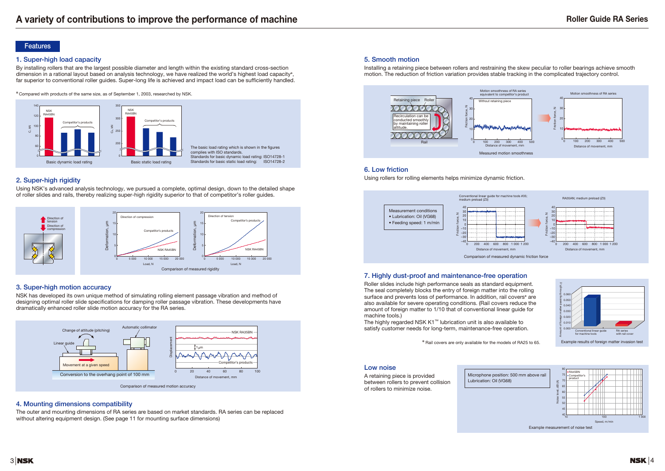#### **1. Super-high load capacity**

By installing rollers that are the largest possible diameter and length within the existing standard cross-section dimension in a rational layout based on analysis technology, we have realized the world's highest load capacity<sup>\*</sup>, far superior to conventional roller guides. Super-long life is achieved and impact load can be sufficiently handled.

✽ Compared with products of the same size, as of September 1, 2003, researched by NSK.

### **2. Super-high rigidity**

Using NSK's advanced analysis technology, we pursued a complete, optimal design, down to the detailed shape of roller slides and rails, thereby realizing super-high rigidity superior to that of competitor's roller guides.

### **3. Super-high motion accuracy**

NSK has developed its own unique method of simulating rolling element passage vibration and method of designing optimal roller slide specifications for damping roller passage vibration. These developments have dramatically enhanced roller slide motion accuracy for the RA series.

#### **5. Smooth motion**

The highly regarded NSK K1™ lubrication unit is also available to satisfy customer needs for long-term, maintenance-free operation.

Installing a retaining piece between rollers and restraining the skew peculiar to roller bearings achieve smooth motion. The reduction of friction variation provides stable tracking in the complicated trajectory control.

### **4. Mounting dimensions compatibility**



The outer and mounting dimensions of RA series are based on market standards. RA series can be replaced without altering equipment design. (See page 11 for mounting surface dimensions)









### **7. Highly dust-proof and maintenance-free operation**

Roller slides include high performance seals as standard equipment. The seal completely blocks the entry of foreign matter into the rolling surface and prevents loss of performance. In addition, rail covers<sup>\*</sup> are also available for severe operating conditions. (Rail covers reduce the amount of foreign matter to 1/10 that of conventional linear guide for machine tools.)



### **6. Low friction**



Using rollers for rolling elements helps minimize dynamic friction.

#### **Low noise**

A retaining piece is provided between rollers to prevent collision of rollers to minimize noise.

Lubrication: Oil (VG68)

#### **Features**

✽ Rail covers are only available for the models of RA25 to 65.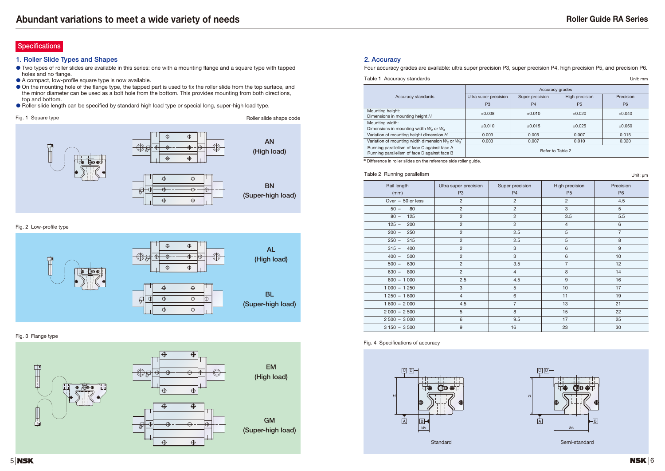#### **1. Roller Slide Types and Shapes**

- Two types of roller slides are available in this series: one with a mounting flange and a square type with tapped holes and no flange.
- A compact, low-profile square type is now available.
- On the mounting hole of the flange type, the tapped part is used to fix the roller slide from the top surface, and the minor diameter can be used as a bolt hole from the bottom. This provides mounting from both directions, top and bottom.
- Roller slide length can be specified by standard high load type or special long, super-high load type.

## Four accuracy grades are available: ultra super precision P3, super precision P4, high precision P5, and precision P6. Table 1 Accuracy standards Unit: mm

#### Fig. 2 Low-profile type

#### Fig. 3 Flange type







Standard Standard Standard Semi-standard Semi-standard Semi-standard Semi-standard

#### Fig. 4 Specifications of accuracy

### **Specifications**





#### **2. Accuracy**

|                                                                                              |                       | Accuracy grades |                |           |  |
|----------------------------------------------------------------------------------------------|-----------------------|-----------------|----------------|-----------|--|
| Accuracy standards                                                                           | Ultra super precision | Super precision | High precision | Precision |  |
|                                                                                              | P <sub>3</sub>        | P <sub>4</sub>  | P <sub>5</sub> | <b>P6</b> |  |
| Mounting height:<br>Dimensions in mounting height H                                          | $\pm 0.008$           | ±0.010          | ±0.020         | ±0.040    |  |
| Mounting width:<br>Dimensions in mounting width $W_2$ or $W_3$                               | $\pm 0.010$           | ±0.015          | ±0.025         | ±0.050    |  |
| Variation of mounting height dimension H                                                     | 0.003                 | 0.005           | 0.007          | 0.015     |  |
| Variation of mounting width dimension $W_2$ or $W_3^*$                                       | 0.003                 | 0.007           | 0.010          | 0.020     |  |
| Running parallelism of face C against face A<br>Running parallelism of face D against face B | Refer to Table 2      |                 |                |           |  |

| Rail length<br>(mm) | Ultra super precision<br>P <sub>3</sub> | Super precision<br>P <sub>4</sub> | High precision<br>P <sub>5</sub> | Precision<br>P <sub>6</sub> |
|---------------------|-----------------------------------------|-----------------------------------|----------------------------------|-----------------------------|
| Over $-50$ or less  | 2                                       | $\overline{c}$                    | $\overline{2}$                   | 4.5                         |
| $50 -$<br>80        | $\overline{2}$                          | $\overline{2}$                    | $\mathbf{3}$                     | 5                           |
| $80 -$<br>125       | $\overline{2}$                          | $\sqrt{2}$                        | 3.5                              | 5.5                         |
| $125 -$<br>200      | 2                                       | $\overline{2}$                    | $\overline{4}$                   | 6                           |
| $200 -$<br>250      | 2                                       | 2.5                               | 5                                | $\overline{7}$              |
| $250 -$<br>315      | $\overline{2}$                          | 2.5                               | 5                                | 8                           |
| $315 -$<br>400      | 2                                       | $\mathbf{3}$                      | 6                                | 9                           |
| $400 -$<br>500      | 2                                       | $\mathbf{3}$                      | 6                                | 10                          |
| $500 -$<br>630      | 2                                       | 3.5                               | $\overline{7}$                   | 12                          |
| $630 -$<br>800      | $\overline{2}$                          | $\overline{4}$                    | 8                                | 14                          |
| $800 - 1000$        | 2.5                                     | 4.5                               | $9\,$                            | 16                          |
| $1000 - 1250$       | 3                                       | 5                                 | 10                               | 17                          |
| $1250 - 1600$       | $\overline{4}$                          | $6\,$                             | 11                               | 19                          |
| $1600 - 2000$       | 4.5                                     | $\overline{7}$                    | 13                               | 21                          |
| $2000 - 2500$       | 5                                       | 8                                 | 15                               | 22                          |
| $2500 - 3000$       | 6                                       | 9.5                               | 17                               | 25                          |
| $3150 - 3500$       | 9                                       | 16                                | 23                               | 30                          |

✽ Difference in roller slides on the reference side roller guide.

#### Table 2 Running parallelism Unit: um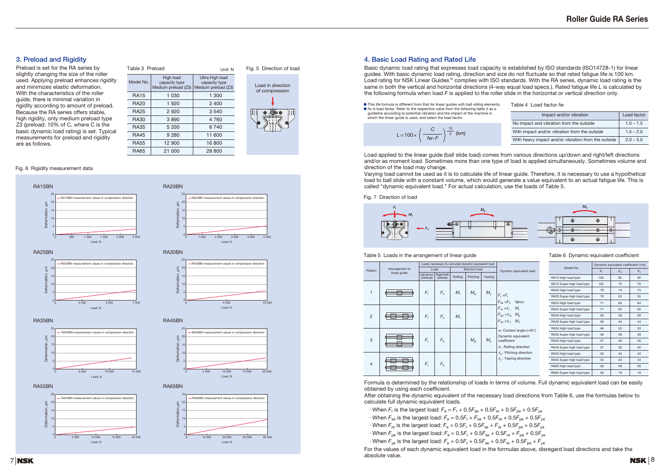### **3. Preload and Rigidity**

Preload is set for the RA series by slightly changing the size of the roller used. Applying preload enhances rigidity and minimizes elastic deformation. With the characteristics of the roller guide, there is minimal variation in rigidity according to amount of preload. Because the RA series offers stable, high rigidity, only medium preload type Z3 (preload: 10% of C, where C is the basic dynamic load rating) is set. Typical measurements for preload and rigidity are as follows.

#### Fig. 6 Rigidity measurement data

Fig. 5 Direction of load



Load in direction of compression



#### **4. Basic Load Rating and Rated Life**

 $\cdot$  When  $F_r$  is the largest load:  $F_e = F_r + 0.5F_{se} + 0.5F_{re} + 0.5F_{pe} + 0.5F_{ve}$  $\cdot$  When  $F_{\text{se}}$  is the largest load:  $F_{\text{e}} = 0.5F_{\text{r}} + F_{\text{se}} + 0.5F_{\text{re}} + 0.5F_{\text{oe}} + 0.5F_{\text{ve}}$  $\cdot$  When  $F_{\text{re}}$  is the largest load:  $F_{\text{e}} = 0.5F_{\text{r}} + 0.5F_{\text{se}} + F_{\text{re}} + 0.5F_{\text{oe}} + 0.5F_{\text{ve}}$  $\cdot$  When  $F_{\text{pe}}$  is the largest load:  $F_{\text{e}} = 0.5F_{\text{r}} + 0.5F_{\text{se}} + 0.5F_{\text{re}} + F_{\text{pe}} + 0.5F_{\text{ve}}$  $\cdot$  When  $F_{\text{ve}}$  is the largest load:  $F_{\text{e}} = 0.5F_{\text{r}} + 0.5F_{\text{se}} + 0.5F_{\text{re}} + 0.5F_{\text{oe}} + F_{\text{ve}}$ For the values of each dynamic equivalent load in the formulas above, disregard load directions and take the absolute value.

**7 NSK** 

Basic dynamic load rating that expresses load capacity is established by ISO standards (ISO14728-1) for linear guides. With basic dynamic load rating, direction and size do not fluctuate so that rated fatigue life is 100 km. Load rating for NSK Linear Guides™ complies with ISO standards. With the RA series, dynamic load rating is the same in both the vertical and horizontal directions (4-way equal load specs.). Rated fatigue life *L* is calculated by the following formula when load *F* is applied to the roller slide in the horizontal or vertical direction only.

Load applied to the linear guide (ball slide load) comes from various directions up/down and right/left directions and/or as moment load. Sometimes more than one type of load is applied simultaneously. Sometimes volume and direction of the load may change.

Varying load cannot be used as it is to calculate life of linear guide. Therefore, it is necessary to use a hypothetical load to ball slide with a constant volume, which would generate a value equivalent to an actual fatigue life. This is called "dynamic equivalent load." For actual calculation, use the loads of Table 5.

Formula is determined by the relationship of loads in terms of volume. Full dynamic equivalent load can be easily obtained by using each coefficient. After obtaining the dynamic equivalent of the necessary load directions from Table 6, use the formulas below to

| Table 3 Preload |                                                   | Unit: N                                                 |
|-----------------|---------------------------------------------------|---------------------------------------------------------|
| Model No.       | High load<br>capacity type<br>Medium preload (Z3) | Ultra High load<br>capacity type<br>Medium preload (Z3) |
| <b>RA15</b>     | 1 030                                             | 1 300                                                   |
| <b>RA20</b>     | 1920                                              | 2400                                                    |
| <b>RA25</b>     | 2920                                              | 3540                                                    |
| <b>RA30</b>     | 3890                                              | 4760                                                    |
| <b>RA35</b>     | 5 330                                             | 6 740                                                   |
| <b>RA45</b>     | 9 2 8 0                                           | 11 600                                                  |
| <b>RA55</b>     | 12 900                                            | 16800                                                   |
| <b>RA65</b>     | 21 000                                            | 28 800                                                  |
|                 |                                                   |                                                         |

calculate full dynamic equivalent loads.

- 
- 
- 

Table 4 Load factor *fw*

| Table 6 Dynamic equivalent coefficient |  |  |  |  |
|----------------------------------------|--|--|--|--|
|----------------------------------------|--|--|--|--|

#### Table 5 Loads in the arrangement of linear guide

Fig. 7 Direction of load

● This life formula is different from that for linear guides with ball rolling elements. ● *f*w is load factor. Refer to the respective value from the following table 4 as a guideline according to potential vibration and the impact of the machine in which the linear guide is used, and select the load factor.

|                                                        |                           | Dynamic equivalent coefficient (1/m) |                       |                       |  |
|--------------------------------------------------------|---------------------------|--------------------------------------|-----------------------|-----------------------|--|
| Dynamic equivalent load                                | Model No.                 | $\varepsilon_{\rm r}$                | $\varepsilon_{\rm D}$ | $\varepsilon_{\rm v}$ |  |
|                                                        | RA15 High load type       | 105                                  | 95                    | 95                    |  |
|                                                        | RA15 Super-high load type | 105                                  | 70                    | 70                    |  |
|                                                        | RA20 High load type       | 79                                   | 74                    | 74                    |  |
| $=$ $F_r$                                              | RA20 Super-high load type | 79                                   | 55                    | 55                    |  |
| $_{\rm se}$ = $F_{\rm s}$<br>tan $\alpha$              | RA25 High load type       | 71                                   | 64                    | 64                    |  |
| $M_{r}$<br>$E_{\rm e} = E_{\rm r}$                     | RA25 Super-high load type | 71                                   | 50                    | 50                    |  |
| $M_{\rm{D}}$<br>$_{pe} = \varepsilon_{p}$              | RA30 High load type       | 56                                   | 58                    | 58                    |  |
| $M_{\rm v}$<br>$_{\text{ve}} = \varepsilon_{\text{v}}$ | RA30 Super-high load type | 56                                   | 44                    | 44                    |  |
| : Contact angle (=45°)                                 | RA35 High load type       | 46                                   | 53                    | 53                    |  |
| ynamic equivalent                                      | RA35 Super-high load type | 46                                   | 39                    | 39                    |  |
| befficient                                             | RA45 High load type       | 37                                   | 40                    | 40                    |  |
| : Rolling direction                                    | RA45 Super-high load type | 37                                   | 30                    | 30                    |  |
| .: Pitching direction                                  | RA55 High load type       | 33                                   | 34                    | 34                    |  |
| .: Yawing direction                                    | RA55 Super-high load type | 33                                   | 24                    | 24                    |  |
|                                                        | RA65 High load type       | 26                                   | 28                    | 28                    |  |
|                                                        | RA65 Super-high load type | 26                                   | 19                    | 19                    |  |
|                                                        |                           |                                      |                       |                       |  |

|                |                |                       | Loads necessary to calcurate dynamic equivalent load |         |             |             |                                                                                                                                                    |
|----------------|----------------|-----------------------|------------------------------------------------------|---------|-------------|-------------|----------------------------------------------------------------------------------------------------------------------------------------------------|
| Pattern        | Arrangement of |                       | Load                                                 |         | Moment load |             | Dynamic equivalent load                                                                                                                            |
|                | linear guide   | Up/down<br>(vertical) | Right/left<br>(lateral)                              | Rolling | Pitching    | Yawing      |                                                                                                                                                    |
| 1              |                | $F_r$                 | $F_{\rm s}$                                          | $M_r$   | $M_{\rm p}$ | $M_{y}$     | $F_r = F_r$<br>$F_{\text{se}} = F_{\text{s}}$ tan $\alpha$                                                                                         |
| $\overline{2}$ |                | $F_r$                 | $F_{\rm s}$                                          | $M_{r}$ |             |             | $F_{\text{re}} = \varepsilon_r$ $M_r$<br>$F_{\text{pe}} = \varepsilon_{\text{p}}$ $M_{\text{p}}$<br>$F_{\rm ve} = \varepsilon_{\rm v}$ $M_{\rm v}$ |
| 3              |                | $F_r$                 | $F_{\rm s}$                                          |         | $M_{\rm p}$ | $M_{\rm v}$ | $\alpha$ : Contact angle (=45°<br>Dynamic equivalent<br>coefficient<br>$\varepsilon_{r}$ : Rolling direction                                       |
| $\overline{4}$ |                | $F_r$                 | $F_{\rm s}$                                          |         |             |             | $\varepsilon_{\rm o}$ : Pitching direction<br>$\varepsilon_{v}$ : Yawing direction                                                                 |



| Impact and/or vibration                             | Load factor |
|-----------------------------------------------------|-------------|
| No impact and vibration from the outside            | $1.0 - 1.5$ |
| With impact and/or vibration from the outside       | $1.5 - 2.0$ |
| With heavy impact and/or vibration from the outside | $2.0 - 3.0$ |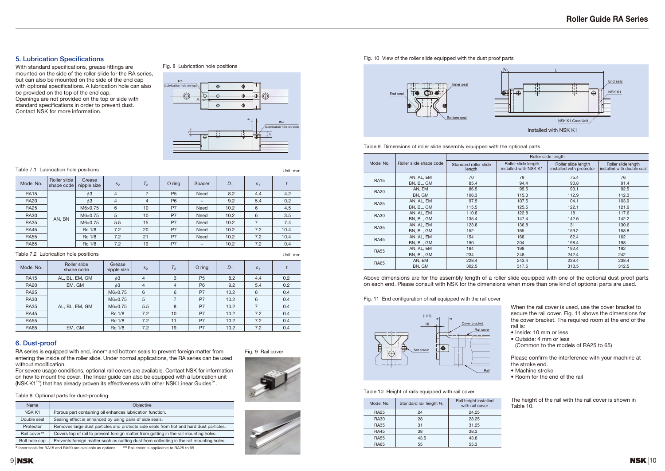### **5. Lubrication Specifications**

With standard specifications, grease fittings are mounted on the side of the roller slide for the RA series, but can also be mounted on the side of the end cap with optional specifications. A lubrication hole can also be provided on the top of the end cap. Openings are not provided on the top or side with standard specifications in order to prevent dust. Contact NSK for more information.

RA series is equipped with end, inner \* and bottom seals to prevent foreign matter from entering the inside of the roller slide. Under normal applications, the RA series can be used without modification.

#### **6. Dust-proof**

For severe usage conditions, optional rail covers are available. Contact NSK for information on how to mount the cover. The linear guide can also be equipped with a lubrication unit (NSK K1™) that has already proven its effectiveness with other NSK Linear Guides™.

Above dimensions are for the assembly length of a roller slide equipped with one of the optional dust-proof parts on each end. Please consult with NSK for the dimensions when more than one kind of optional parts are used.

> When the rail cover is used, use the cover bracket to secure the rail cover. Fig. 11 shows the dimensions for the cover bracket. The required room at the end of the rail is:

- Inside: 10 mm or less
- Outside: 4 mm or less
- (Common to the models of RA25 to 65)

Please confirm the interference with your machine at the stroke end.

- Machine stroke
- Room for the end of the rail

#### Fig. 9 Rail cover





#### Table 7.1 Lubrication hole positions

| Model No.   | Roller slide<br>shape code | Grease<br>nipple size | $S_2$          | T <sub>2</sub> | $O$ ring       | $D_1$ | $S_1$ |     |
|-------------|----------------------------|-----------------------|----------------|----------------|----------------|-------|-------|-----|
| <b>RA15</b> | AL, BL, EM, GM             | $\phi$ 3              | $\overline{4}$ | 3              | P <sub>5</sub> | 8.2   | 4.4   | 0.2 |
| <b>RA20</b> | EM, GM                     | $\phi$ 3              | $\overline{4}$ | 4              | P <sub>6</sub> | 9.2   | 5.4   | 0.2 |
| <b>RA25</b> |                            | $M6\times0.75$        | 6              | 6              | P7             | 10.2  | 6     | 0.4 |
| <b>RA30</b> |                            | $M6\times0.75$        | 5              | 7              | P7             | 10.2  | 6     | 0.4 |
| <b>RA35</b> | AL, BL, EM, GM             | $M6\times0.75$        | 5.5            | 8              | P7             | 10.2  |       | 0.4 |
| <b>RA45</b> |                            | $Rc$ 1/8              | 7.2            | 10             | P7             | 10.2  | 7.2   | 0.4 |
| <b>RA55</b> |                            | $Rc$ 1/8              | 7.2            | 11             | P7             | 10.2  | 7.2   | 0.4 |
| <b>RA65</b> | EM, GM                     | Rc 1/8                | 7.2            | 19             | P7             | 10.2  | 7.2   | 0.4 |

| Model No.   | Roller slide<br>shape code | Grease<br>nipple size | $S_2$          | T <sub>2</sub> | $O$ ring       | Spacer      | $D_1$ | $S_1$ |      |
|-------------|----------------------------|-----------------------|----------------|----------------|----------------|-------------|-------|-------|------|
| <b>RA15</b> |                            | $\phi$ 3              | 4              | 7              | P <sub>5</sub> | <b>Need</b> | 8.2   | 4.4   | 4.2  |
| <b>RA20</b> |                            | $\phi$ 3              | $\overline{4}$ | $\overline{4}$ | P <sub>6</sub> |             | 9.2   | 5.4   | 0.2  |
| <b>RA25</b> |                            | $M6\times0.75$        | 6              | 10             | P7             | <b>Need</b> | 10.2  | 6     | 4.5  |
| <b>RA30</b> |                            | $M6\times0.75$        | 5              | 10             | P7             | <b>Need</b> | 10.2  | 6     | 3.5  |
| <b>RA35</b> | AN, BN                     | $M6\times0.75$        | 5.5            | 15             | P7             | <b>Need</b> | 10.2  |       | 7.4  |
| <b>RA45</b> |                            | $Rc$ 1/8              | 7.2            | 20             | P7             | <b>Need</b> | 10.2  | 7.2   | 10.4 |
| <b>RA55</b> |                            | $Rc$ 1/8              | 7.2            | 21             | P7             | <b>Need</b> | 10.2  | 7.2   | 10.4 |
| <b>RA65</b> |                            | Rc 1/8                | 7.2            | 19             | P7             |             | 10.2  | 7.2   | 0.4  |

#### Fig. 10 View of the roller slide equipped with the dust proof parts



Fig. 11 End configuration of rail equipped with the rail cover

|             |                         | Roller slide length             |                                              |                                                 |                                                   |  |  |  |
|-------------|-------------------------|---------------------------------|----------------------------------------------|-------------------------------------------------|---------------------------------------------------|--|--|--|
| Model No.   | Roller slide shape code | Standard roller slide<br>length | Roller slide length<br>installed with NSK K1 | Roller slide length<br>installed with protector | Roller slide length<br>installed with double seal |  |  |  |
|             | AN, AL, EM              | 70                              | 79                                           | 75.4                                            | 76                                                |  |  |  |
| <b>RA15</b> | BN, BL, GM              | 85.4                            | 94.4                                         | 90.8                                            | 91.4                                              |  |  |  |
| <b>RA20</b> | AN, EM                  | 86.5                            | 95.5                                         | 93.1                                            | 92.5                                              |  |  |  |
|             | BN, GM                  | 106.3                           | 115.3                                        | 112.9                                           | 112.3                                             |  |  |  |
| <b>RA25</b> | AN, AL, EM              | 97.5                            | 107.5                                        | 104.1                                           | 103.9                                             |  |  |  |
|             | BN, BL, GM              | 115.5                           | 125.5                                        | 122.1                                           | 121.9                                             |  |  |  |
| <b>RA30</b> | AN, AL, EM              | 110.8                           | 122.8                                        | 118                                             | 117.6                                             |  |  |  |
|             | BN, BL, GM              | 135.4                           | 147.4                                        | 142.6                                           | 142.2                                             |  |  |  |
| <b>RA35</b> | AN, AL, EM              | 123.8                           | 136.8                                        | 131                                             | 130.6                                             |  |  |  |
| BN, BL, GM  |                         | 152                             | 165                                          | 159.2                                           | 158.8                                             |  |  |  |
| <b>RA45</b> | AN, AL, EM              | 154                             | 168                                          | 162.4                                           | 162                                               |  |  |  |
|             | BN, BL, GM              | 190                             | 204                                          | 198.4                                           | 198                                               |  |  |  |
| <b>RA55</b> | AN, AL, EM              | 184                             | 198                                          | 192.4                                           | 192                                               |  |  |  |
|             | BN, BL, GM              | 234                             | 248                                          | 242.4                                           | 242                                               |  |  |  |
| <b>RA65</b> | AN, EM                  | 228.4                           | 243.4                                        | 239.4                                           | 238.4                                             |  |  |  |
|             | BN, GM                  | 302.5                           | 317.5                                        | 313.5                                           | 312.5                                             |  |  |  |





Fig. 8 Lubrication hole positions

Unit: mm

Unit: mm

| Model No.   | Standard rail height $H_1$ | Rail height installed<br>with rail cover |
|-------------|----------------------------|------------------------------------------|
| <b>RA25</b> | 24                         | 24.25                                    |
| <b>RA30</b> | 28                         | 28.25                                    |
| <b>RA35</b> | 31                         | 31.25                                    |
| <b>RA45</b> | 38                         | 38.3                                     |
| <b>RA55</b> | 43.5                       | 43.8                                     |
| <b>RA65</b> | 55                         | 55.3                                     |
|             |                            |                                          |

#### Table 10 Height of rails equipped with rail cover

The height of the rail with the rail cover is shown in Table 10.

#### Table 7.2 Lubrication hole positions

#### Table 8 Optional parts for dust-proofing

| <b>Objective</b>                                                                                          |  |  |  |
|-----------------------------------------------------------------------------------------------------------|--|--|--|
| Porous part containing oil enhances lubrication function.                                                 |  |  |  |
| Sealing effect is enhanced by using pairs of side seals.<br>Double seal                                   |  |  |  |
| Removes large dust particles and protects side seals from hot and hard dust particles.                    |  |  |  |
| Rail cover**<br>Covers top of rail to prevent foreign matter from getting in the rail mounting holes.     |  |  |  |
| Prevents foreign matter such as cutting dust from collecting in the rail mounting holes.<br>Bolt hole cap |  |  |  |
| $\frac{1}{2}$ lease a seal of an DAME and DAMA and accelled by a seatless of                              |  |  |  |

Inner seals for RA15 and RA20 are available as options. <sup>\*\*</sup> Rail cover is applicable to RA25 to 65

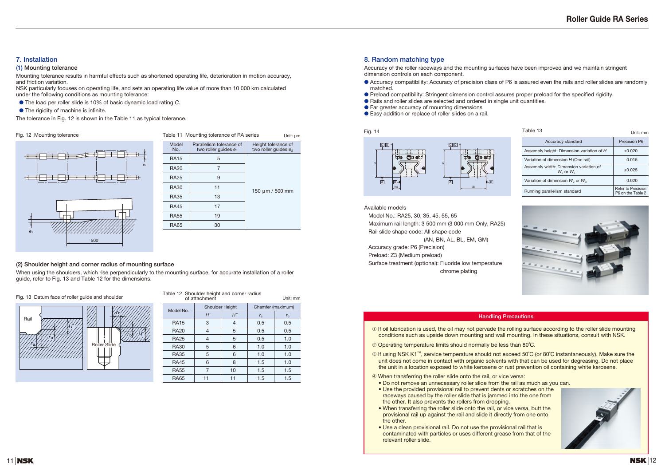### **7. Installation**

#### **(1) Mounting tolerance**

Mounting tolerance results in harmful effects such as shortened operating life, deterioration in motion accuracy, and friction variation.

NSK particularly focuses on operating life, and sets an operating life value of more than 10 000 km calculated under the following conditions as mounting tolerance:

- matched.
- Preload compatibility: Stringent dimension control assures proper preload for the specified rigidity.
- Rails and roller slides are selected and ordered in single unit quantities.
- Far greater accuracy of mounting dimensions
- Easy addition or replace of roller slides on a rail.

- The load per roller slide is 10% of basic dynamic load rating *C*.
- The rigidity of machine is infinite.

The tolerance in Fig. 12 is shown in the Table 11 as typical tolerance.

### **8. Random matching type**

Accuracy of the roller raceways and the mounting surfaces have been improved and we maintain stringent dimension controls on each component.

● Accuracy compatibility: Accuracy of precision class of P6 is assured even the rails and roller slides are randomly

Model No.: RA25, 30, 35, 45, 55, 65 Maximum rail length: 3 500 mm (3 000 mm Only, RA25) Rail slide shape code: All shape code

(AN, BN, AL, BL, EM, GM)

Accuracy grade: P6 (Precision)

Preload: Z3 (Medium preload)

Surface treatment (optional): Fluoride low temperature chrome plating

#### **(2) Shoulder height and corner radius of mounting surface**

When using the shoulders, which rise perpendicularly to the mounting surface, for accurate installation of a roller guide, refer to Fig. 13 and Table 12 for the dimensions.



#### **Handling Precautions**

➀ If oil lubrication is used, the oil may not pervade the rolling surface according to the roller slide mounting

<sup>➂</sup>If using NSK K1™, service temperature should not exceed 50˚C (or 80˚C instantaneously). Make sure the unit does not come in contact with organic solvents with that can be used for degreasing. Do not place



- conditions such as upside down mounting and wall mounting. In these situations, consult with NSK.
- ➁ Operating temperature limits should normally be less than 80˚C.
- the unit in a location exposed to white kerosene or rust prevention oil containing white kerosene.
- ➃ When transferring the roller slide onto the rail, or vice versa:
- Do not remove an unnecessary roller slide from the rail as much as you can.
- Use the provided provisional rail to prevent dents or scratches on the raceways caused by the roller slide that is jammed into the one from the other. It also prevents the rollers from dropping.
- When transferring the roller slide onto the rail, or vice versa, butt the provisional rail up against the rail and slide it directly from one onto the other.
- Use a clean provisional rail. Do not use the provisional rail that is contaminated with particles or uses different grease from that of the relevant roller slide.

| Fig. 12 Mounting tolerance |              | Table 11 Mounting tolerance of RA series            | Unit: µm                                       | Fig. 14                                             | Table 13        |
|----------------------------|--------------|-----------------------------------------------------|------------------------------------------------|-----------------------------------------------------|-----------------|
|                            | Model<br>No. | Parallelism tolerance of<br>two roller guides $e_1$ | Height tolerance of<br>two roller guides $e_2$ | <b>Q</b> <sub>1</sub><br><b>Q</b> <sub>+</sub>      | <b>Assembly</b> |
|                            | <b>RA15</b>  | . 5                                                 |                                                | <b>HO COOO!</b><br>$\mathbb{G}$ of<br>ਾਂ ⊕          | Variation       |
|                            | <b>RA20</b>  |                                                     |                                                |                                                     | Assembly        |
|                            | <b>RA25</b>  | 9                                                   |                                                | $\overline{A}$<br>H<br>$\boxed{\mathbf{A}}$         | Variation       |
|                            | <b>RA30</b>  | 11                                                  | $150 \mu m / 500 \text{ mm}$                   | $W_2$                                               | Running         |
|                            | <b>RA35</b>  | 13                                                  |                                                |                                                     |                 |
|                            | <b>RA45</b>  | 17                                                  |                                                | Available models                                    |                 |
|                            | <b>RA55</b>  | 19                                                  |                                                | Model No.: RA25, 30, 35, 45, 55, 65                 |                 |
|                            | <b>RA65</b>  | 30                                                  |                                                | Maximum rail length: 3 500 mm (3 000 mm Only, RA25) | $-$             |



| Table 13                                                 | Unit: mm                                |
|----------------------------------------------------------|-----------------------------------------|
| Accuracy standard                                        | Precision P6                            |
| Assembly height: Dimension variation of H                | ±0.020                                  |
| Variation of dimension H (One rail)                      | 0.015                                   |
| Assembly width: Dimension variation of<br>$W_2$ or $W_3$ | $+0.025$                                |
| Variation of dimension $W_2$ or $W_3$                    | 0.020                                   |
| Running parallelism standard                             | Refer to Precision<br>P6 on the Table 2 |



| Table 12 Shoulder height and corner radius<br>Unit: mm<br>of attachment |                        |                    |             |                   |  |  |  |  |  |  |  |  |  |
|-------------------------------------------------------------------------|------------------------|--------------------|-------------|-------------------|--|--|--|--|--|--|--|--|--|
|                                                                         |                        |                    |             |                   |  |  |  |  |  |  |  |  |  |
| Model No.                                                               | <b>Shoulder Height</b> |                    |             | Chamfer (maximum) |  |  |  |  |  |  |  |  |  |
|                                                                         | H'                     | $H^{\prime\prime}$ | $r_{\rm a}$ | $r_{\rm b}$       |  |  |  |  |  |  |  |  |  |
| <b>RA15</b>                                                             | 3                      | 4                  | 0.5         | 0.5               |  |  |  |  |  |  |  |  |  |
| <b>RA20</b>                                                             | 4                      | 5                  | 0.5         | 0.5               |  |  |  |  |  |  |  |  |  |
| <b>RA25</b>                                                             | 4                      | 5                  | 0.5         | 1.0               |  |  |  |  |  |  |  |  |  |
| <b>RA30</b>                                                             | 5                      | 6                  | 1.0         | 1.0               |  |  |  |  |  |  |  |  |  |
| <b>RA35</b>                                                             | 5                      | 6                  | 1.0         | 1.0               |  |  |  |  |  |  |  |  |  |
| <b>RA45</b>                                                             | 6                      | 8                  | 1.5         | 1.0               |  |  |  |  |  |  |  |  |  |
| <b>RA55</b>                                                             |                        | 10                 | 1.5         | 1.5               |  |  |  |  |  |  |  |  |  |
| <b>RA65</b>                                                             |                        | 11                 | 1.5         | 1.5               |  |  |  |  |  |  |  |  |  |



#### Fig. 13 Datum face of roller guide and shoulder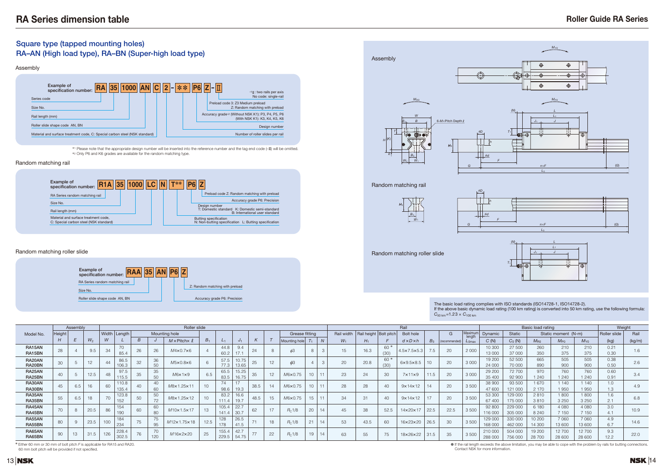

# $C_{50 \text{ km}}$  = 1.23 ×  $C_{100 \text{ km}}$

# **Roller Guide RA Series**

● If the rail length exceeds the above limitation, you may be able to cope with the problem by rails for butting connections.

The basic load rating complies with ISO standards (ISO14728-1, ISO14728-2). If the above basic dynamic load rating (100 km rating) is converted into 50 km rating, use the following formula:

# **Square type (tapped mounting holes) RA–AN (High load type), RA–BN (Super-high load type)**

|                  | Example of<br>specification number: | RA | 35 1000 AN C | $\overline{2}$<br>ы | P6 <br>$**$ | $\mathbb I$<br>۰.                 | *1I : two rails per axis                                                           |
|------------------|-------------------------------------|----|--------------|---------------------|-------------|-----------------------------------|------------------------------------------------------------------------------------|
| Series code      |                                     |    |              |                     |             |                                   | No code: single-rail                                                               |
| Size No.         |                                     |    |              |                     |             | Preload code 3: Z3 Medium preload | Z: Random matching with preload                                                    |
| Rail length (mm) |                                     |    |              |                     |             |                                   | Accuracy grade*2 (Without NSK K1): P3, P4, P5, P6<br>(With NSK K1): K3, K4, K5, K6 |
|                  | Roller slide shape code AN, BN      |    |              |                     |             |                                   | Design number                                                                      |

|                  |        | Assembly |                | Roller slide |                                  |    |                      |                           |      |                  |                 |               |      |                    |    |                |            |             |              | Rail                    |       |               |                 |                    | Basic load rating       |                  | Weight                      |                   |              |        |
|------------------|--------|----------|----------------|--------------|----------------------------------|----|----------------------|---------------------------|------|------------------|-----------------|---------------|------|--------------------|----|----------------|------------|-------------|--------------|-------------------------|-------|---------------|-----------------|--------------------|-------------------------|------------------|-----------------------------|-------------------|--------------|--------|
| Model No.        | Heiaht |          |                |              | Width Lenath                     |    |                      | Mounting hole             |      |                  |                 |               |      | Grease fitting     |    |                | Rail width | Rail height | : Bolt pitch | <b>Bolt hole</b>        |       | G             | Maxim<br>length | Dynamic            | <b>Static</b>           |                  | Static moment $(N \cdot m)$ |                   | Roller slide | Rail   |
|                  | H      |          | $W_2$          | W            |                                  | B  |                      | $M \times$ Pitch $\times$ |      | $L_1$            |                 | <sup>n</sup>  |      | Mounting hole      |    | $\overline{M}$ | $W_1$      |             |              | $d \times D \times h$   | $B_3$ | (recommended) | $L_{0max}$      | C(N)               | $C_0(N)$                | $M_{\rm B0}$     | $M_{\text{P}0}$             | $M_{\text{Y0}}$   | (kg)         | (kg/m) |
| RA15AN<br>RA15BN | 28     |          | 9.5            | 34           | $\overline{\phantom{a}}$<br>85.  | 26 | 26                   | $M4\times0.7\times6$      |      | 44.8<br>60.2     | 9.4<br>$-1$ $-$ |               |      |                    |    |                |            | 16.3        | 60 *<br>(30) | 1.5×7.5×5.3             |       | 20            | 2 0 0 0         | 10 300<br>13 000   | 27 500<br>37 000        | 260<br>350       | 375                         | 210<br>375        | 0.21<br>0.30 | 1.6    |
| RA20AN<br>RA20BN | 30     |          | $\overline{1}$ | 44           | 86.<br>100 <sub>1</sub><br>IUO.J | 32 | 36<br>50             | $M5\times0.8\times6$      |      | 57.5<br>77.3     | 10.75<br>13.65  |               | 12   |                    |    |                |            | 20.8        | 60 *<br>(30) | 6×9.5×8.5               |       | 20            | 3 0 0 0         | 19 200<br>24 000   | 52 500<br><b>70 000</b> | 665<br>890       | 505<br>900                  | 505<br>900        | 0.38<br>0.50 | 2.6    |
| RA25AN<br>RA25BN | 40     |          | 12.5           | 48           | 97.<br>- I O.C                   | 35 | 35<br>50             | M6x1x9                    | 0.5  | 65.5<br>83.5     | 15.25<br>16.75  | 35            | 12   | M6×0.75            |    | 11             | 23         | 24          | 30           | $7 \times 11 \times 9$  | 11.5  | 20            | 3 0 0 0         | 29 200<br>35 400   | 72 700<br>92 900        | 970<br>1 2 4 0   | 760<br>1 240                | 760<br>1 2 4 0    | 0.60<br>0.91 | 3.4    |
| RA30AN<br>RA30BN | 45     | 6.4      | 16             | 60           | 110.8<br>135.                    | 40 | 40<br>60             | M8×1.25×11                | 10   | 74<br>98.6       | $-1$<br>19.3    | 38.5          | 14   | M6×0.75            |    | 11             | 28         | 28          | 40           | $9 \times 14 \times 12$ | 14    | 20            | 3 500           | 38 900<br>47 600   | 93 500<br>121 000       | 1 670<br>2 1 7 0 | 1 140<br>1950               | 1 140<br>1950     | 1.0<br>1.3   | 4.9    |
| RA35AN<br>RA35BN | 55     | 0.J      | 18             | 70           | 123.8<br>152                     | 50 | 50<br>7 <sup>c</sup> | M8×1.25×12                | 10   | 83.2             | 16.6<br>19.7    | 48.5          | 15   | M6×0.75            | 15 | 11             | 34         | 31          | 40           | $9 \times 14 \times 12$ | 17    | 20            | 3500            | 53 300<br>67 400   | 129 000<br>175 000      | 2810<br>3810     | 1800<br>3 2 5 0             | 1800<br>3 2 5 0   | 1.6<br>2.1   | 6.8    |
| RA45AN<br>RA45BN | 70     | 8        | 20.5           | 86           | 154<br>190                       | 60 | 60<br>80             | M10×1.5×17                | 13   | 105.4<br>141.4   | 22.7<br>30.7    | 62            | $-1$ | R <sub>c</sub> 1/8 | 20 | 14             | 45         | 38          | 52.5         | 14×20×17                | 22.5  | 22.5          | 3500            | 92 800<br>116 000  | 229 000<br>305 000      | 6 180<br>8 2 4 0 | 4 0 8 0<br>7 150            | 4 0 8 0<br>7 150  | 3.0<br>4.1   | 10.9   |
| RA55AN<br>RA55BN | 80     |          | 23.5           | 100          | 184<br>234                       | 75 | 75<br>95             | M12x1.75x18               | 12.5 | 128<br>170<br>16 | 26.5<br>41.5    |               | 18   | R <sub>C</sub> 1/8 | 21 | 14             |            | 43.5        | 60           | 16×23×20                | 26.5  | 30            | 3500            | 129 000<br>168 000 | 330 000<br>462 000      | 10 200<br>14 300 | 7 0 6 0<br>13 600           | 7 0 6 0<br>13 600 | 4.9<br>6.7   | 14.6   |
| RA65AN<br>RA65BN | $90\,$ | 13       | 31.5           | 126          | 228.<br>302.5                    | 76 | 70<br>120            | M16×2×20                  | 25   | 155.<br>229.5    | 42.7<br>54.75   | $\rightarrow$ | 22   | R <sub>C</sub> 1/8 | 19 | 14             |            | 55          | 75           | 18×26×22                | 31.5  | 35            | 3 5 0 0         | 210 000<br>288 000 | 504 000<br>756 000      | 19 200<br>28 700 | 12 700<br>28 600            | 12700<br>28 600   | 9.3<br>12.2  | 22.0   |





<sup>∗</sup><sup>1</sup> Please note that the appropriate design number will be inserted into the reference number and the tag end code (–II) will be omitted. <sup>∗</sup><sup>2</sup> Only P6 and K6 grades are available for the random matching type.

✽ Either 60 mm or 30 mm of bolt pitch *F* is applicable for RA15 and RA20. 60 mm bolt pitch will be provided if not specified.

#### Random matching rail

#### Random matching roller slide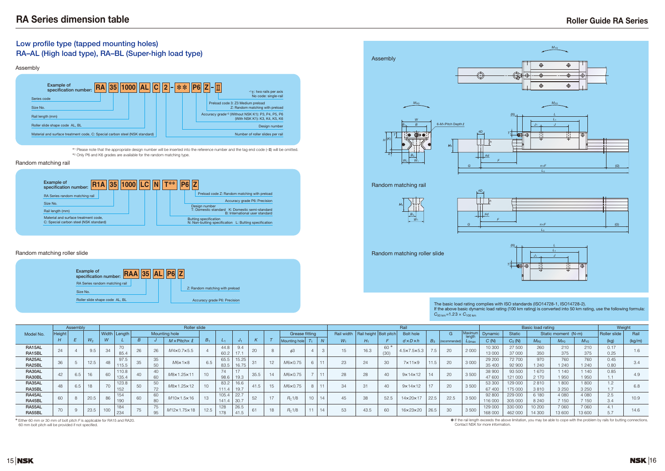# **Roller Guide RA Series**



# **Low profile type (tapped mounting holes) RA–AL (High load type), RA–BL (Super-high load type)**

## The basic load rating complies with ISO standards (ISO14728-1, ISO14728-2).  $C_{50 \text{ km}}$  = 1.23 ×  $C_{100 \text{ km}}$

|           |              | Assembly |        |              | <b>Roller slide</b>      |    |    |                               |         |         |       |              |    |                    |                 |  |            |                          |       | Rail                        |         |              |                |         | <b>Basic load rating</b> |              | Weight                      |                 |              |        |
|-----------|--------------|----------|--------|--------------|--------------------------|----|----|-------------------------------|---------|---------|-------|--------------|----|--------------------|-----------------|--|------------|--------------------------|-------|-----------------------------|---------|--------------|----------------|---------|--------------------------|--------------|-----------------------------|-----------------|--------------|--------|
| Model No. | Height       |          |        | Width        | Length                   |    |    | <b>Mounting hole</b>          |         |         |       |              |    | Grease fitting     |                 |  | Rail width | Rail height   Bolt pitch |       | <b>Bolt hole</b>            |         | G            | Maximu         | Dynamic | <b>Static</b>            |              | Static moment $(N \cdot m)$ |                 | Roller slide | Rail   |
|           |              |          | $VV_2$ | <b>VV</b>    |                          | B  |    | $M \times$ Pitch $\times$ $M$ | $B_{1}$ | $L_{1}$ |       | $\mathbf{r}$ |    | Mounting hole      |                 |  | $W_1$      | $H_1$                    |       | $d \times D \times h$       | $B_{3}$ | recommended) | $L_{\rm 0max}$ | C(N)    | $C_0(N)$                 | $M_{\rm BD}$ | $M_{\text{P}0}$             | $M_{\text{Y0}}$ | (kg)         | (kg/m) |
| RA15AL    | 24           |          | 9.5    | 34           | $\overline{\phantom{0}}$ | 26 | 26 | M4×0.7×5.5                    |         | 44.8    | 9.4   | 20           |    |                    |                 |  |            | 16.3                     | $60*$ | $4.5 \times 7.5 \times 5.3$ | 7.5     | 20           | 2 0 0 0        | 10 300  | 27 500                   | 260          | 210                         | 210             | 0.17         | 1.6    |
| RA15BL    |              |          |        |              | 85.4                     |    |    |                               |         | 60.2    | $-1$  |              |    |                    |                 |  |            |                          | (0)   |                             |         |              |                | 13 000  | 37 000                   | 350          | 375                         | 375             | 0.25         |        |
| RA25AL    |              |          |        | 48           | 07                       |    | 35 |                               |         | 65.5    | 15.25 |              |    |                    |                 |  | 23         | 24                       |       |                             | 11.5    |              |                | 29 200  | 72 700                   | 970          | 760                         | 760             | 0.45         |        |
| RA25BL    | 36           | 5        | 12.5   |              | 115.3                    |    | 50 | $M6 \times 1 \times 8$        |         | 83.5    | 16.75 | 31           | 12 | M6×0.75            |                 |  |            |                          | 30    | $7 \times 11 \times 9$      |         | 20           | 3 0 0 0        | 35 400  | 92 900                   | 1 2 4 0      | 1 2 4 0                     | 1 2 4 0         | 0.80         | 3.4    |
| RA30AL    | 42           |          | 16     | 60           | 110.8                    |    | 40 | M8×1.25×11                    | 10      | 74      | 17    | 35.5         | 14 | M6×0.75            |                 |  | 28         | 28                       | 40    | $9 \times 14 \times 12$     | 14      |              | 3500           | 38 900  | 93 500                   | 1670         | 140                         | 140             | 0.85         | 4.9    |
| RA30BL    |              | 6.5      |        |              | 135.4                    |    | 60 |                               |         | 98.6    | 19.3  |              |    |                    |                 |  |            |                          |       |                             |         | 20           |                | 47 600  | 121 000                  | 2 1 7 0      | 1950                        | 1950            | 1.1          |        |
| RA35AL    |              |          |        | $70^{\circ}$ | 123.8                    |    | 50 |                               | 10      | 83.2    | 16.6  |              | 15 |                    |                 |  | 34         | 31                       |       |                             | 17      |              |                | 53 300  | 129 000                  | 2810         | 1800                        | 1800            | 1.2          |        |
| RA35BL    | 48           | 6.5      | 18     | 7 U          | 150                      | 50 | 70 | M8×1.25×12                    |         | 111.4   | 19.7  | 41.5         |    | M6×0.75            |                 |  |            |                          | 40    | $9 \times 14 \times 12$     |         | 20           | 3500           | 67 400  | 175 000                  | 3810         | 3 2 5 0                     | 3 2 5 0         | 1.7          | 6.8    |
| RA45AL    |              |          |        |              | 154                      |    | 60 |                               | 13      | 105.4   | 22.7  |              |    |                    |                 |  |            |                          |       |                             |         |              |                | 92 800  | 229 000                  | 6 180        | 4 0 8 0                     | 4 0 8 0         | 2.5          |        |
| RA45BL    | 60           |          | 20.5   | 86           | 190                      | 60 | 80 | M10×1.5×16                    |         | 141.4   | 30.7  | 52           | 17 | R <sub>c</sub> 1/8 | 10 <sup>1</sup> |  |            | 38                       | 52.5  | 14×20×17                    | 22.5    | 22.5         | 3500           | 116 000 | 305 000                  | 8 2 4 0      | 150                         | 7 150           | 3.4          | 10.9   |
| RA55AL    | $70^{\circ}$ |          |        |              | 184                      | 75 | 75 | M12x1.75x18                   | 12.5    | 128     | 26.5  |              | 18 | R <sub>c</sub> 1/8 |                 |  | 53         |                          |       | 16×23×20                    |         |              |                | 129 000 | 330 000                  | 10 200       | 7 0 6 0                     | 7 0 6 0         | 4.1          |        |
| RA55BL    |              |          | 23.5   | 100          | 234                      |    | 95 |                               |         | 178     | 41.5  |              |    |                    |                 |  |            | 43.5                     | 6C    |                             | 26.5    | 30           | 3500           | 168 000 | 462 000                  | 14 300       | 13 600                      | 13 600          | 5.7          | 14.6   |

| <b>Example of</b><br>specification number: | 35 <br> 1000 <br><b>RA</b> | C <br><b>AL</b> | $**$<br> 2 <br>l – I | <b>P6</b> | *1II: two rails per axis<br>No code: single-rail                                              |
|--------------------------------------------|----------------------------|-----------------|----------------------|-----------|-----------------------------------------------------------------------------------------------|
| Series code                                |                            |                 |                      |           | Preload code 3: Z3 Medium preload                                                             |
| Size No.                                   |                            |                 |                      |           | Z: Random matching with preload                                                               |
| Rail length (mm)                           |                            |                 |                      |           | Accuracy grade <sup>2</sup> (Without NSK K1): P3, P4, P5, P6<br>(With NSK K1): K3, K4, K5, K6 |
| Roller slide shape code AL, BL             |                            |                 |                      |           | Design number                                                                                 |





✽ Either 60 mm or 30 mm of bolt pitch *F* is applicable for RA15 and RA20.

60 mm bolt pitch will be provided if not specified.

#### Random matching rail

#### Random matching roller slide

<sup>∗</sup><sup>1</sup> Please note that the appropriate design number will be inserted into the reference number and the tag end code (–II) will be omitted. <sup>∗</sup><sup>2</sup> Only P6 and K6 grades are available for the random matching type.

If the above basic dynamic load rating (100 km rating) is converted into 50 km rating, use the following formula:

● If the rail length exceeds the above limitation, you may be able to cope with the problem by rails for butting connections. Contact NSK for more information.

**15 NSK**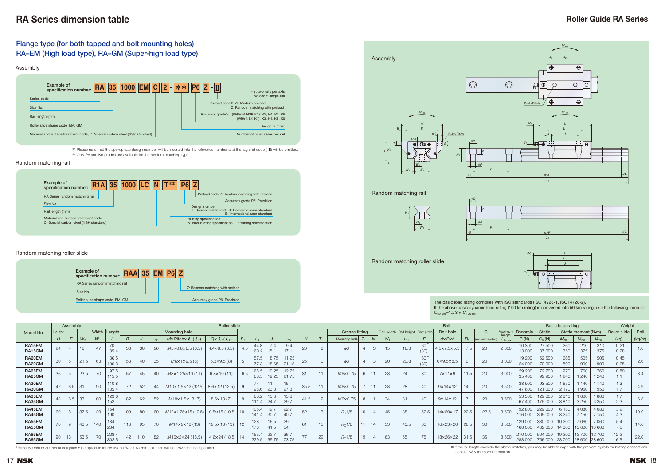# **Roller Guide RA Series**



# $C_{50 \text{ km}}$  = 1.23 ×  $C_{100 \text{ km}}$

## **Flange type (for both tapped and bolt mounting holes) RA–EM (High load type), RA–GM (Super-high load type)**

|                  |        | Assembly |       |     |                        |                  |     |    |                                                 | Roller slide                |    |                |                |                          |                  |    |                                   |             |       |                                     |             | Rail                    |                |               |                        |                    |                                               | Basic load rating |                         |                        | Weight       |        |
|------------------|--------|----------|-------|-----|------------------------|------------------|-----|----|-------------------------------------------------|-----------------------------|----|----------------|----------------|--------------------------|------------------|----|-----------------------------------|-------------|-------|-------------------------------------|-------------|-------------------------|----------------|---------------|------------------------|--------------------|-----------------------------------------------|-------------------|-------------------------|------------------------|--------------|--------|
| Model No.        | Height |          |       |     | Width   Length         |                  |     |    | Mounting hole                                   |                             |    |                |                |                          |                  |    | Grease fitting                    |             |       | Rail width Rail height   Bolt pitch |             | <b>Bolt hole</b>        |                | G             | <b>Aaxim</b><br>lenath | Dynamic            | <b>Static</b>                                 |                   | Static moment (N·m)     |                        | Roller slide | Rail   |
|                  | H      | E        | $W_2$ | W   |                        | $\boldsymbol{B}$ |     |    | $M \times$ Pitch $\times$ $\ell_1$ ( $\ell_2$ ) | $Q \times l_1(l_2)$         |    |                |                | ്ദ                       |                  |    | Mounting hole                     |             | $W_1$ |                                     |             | $dx$ D $x$ h            | B <sub>3</sub> | (recommended) |                        | C(N)               | $C_0(N)$                                      | $M_{\rm R0}$      | $M_{\rm PQ}$            | $M_{Y0}$               | (kg)         | (kg/m) |
| RA15EM<br>RA15GM | 24     |          | 16    | 47  | $\overline{70}$<br>85. | 38               | 30  | 26 | M5×0.8×8.5 (6.5)                                | $4.4 \times 8.5(6.5)$       |    | 44.8<br>60.2   | 15.1           | 9.4<br>17.1              | 20               |    |                                   |             | 15    | 16.3                                | 60<br>(30)  | 4.5×7.5×5.3             |                | 20            | 2 0 0 0                | 10 300<br>13 000   | 27 500<br>37 000                              | 260<br>350        | 210<br>375              | 210<br>375             | 0.21<br>0.28 | 1.6    |
| RA20EM<br>RA20GM | 30     |          | 21.5  | 63  | 86.<br>106.3           | 53               | 40  | 35 | M6x1x9.5(8)                                     | $5.3 \times 9.5$ (8)        |    | 57.5<br>77.3   | 8.75<br>18.65  | 11.25<br>21.15           | $\bigcap$<br>-40 | 10 | $\phi$ 3                          | $\sim$<br>3 | 20    | 20.8                                | 60*<br>(30) | $6\times9.5\times8.5$   |                | 20            | 3 0 0 0                | 19 200<br>24 000   | 52 500<br>70 000                              | 665<br>890        | 505<br>900              | 505<br>900             | 0.45<br>0.65 | 2.6    |
| RA25EM<br>RA25GM | 36     |          | 23.5  | 70  | 97.5<br>115.5          | 57               | 45  | 40 | M8×1.25×10(11)                                  | $6.8 \times 10(11)$         |    | 65.5<br>83.5   | 10.25<br>19.25 | 12.75<br>21.75           |                  | 11 | M6×0.75                           |             | 23    | 24                                  | 30          | $7 \times 11 \times 9$  | 11.5           | 20            | 3 0 0 0                | 29 200<br>35 400   | 72 700<br>92 900                              | 970<br>240        | 760<br>1240             | 760<br><b>240</b>      | 0.80         | 3.4    |
| RA30EM<br>RA30GM | 42     | 6.5      |       | 90  | 110.8<br>135.          | 72               | 52  | 44 | $M10\times1.5\times12(12.5)$                    | $8.6 \times 12(12.5)$       |    | 74<br>98.6     | 23.3           | 15 <sup>15</sup><br>27.3 | 35.5             | 11 | M6×0.75                           | 11          | 28    | 28                                  | 40          | $9 \times 14 \times 12$ | 14             | 20            | 3500                   | 38 900<br>47 600   | 93 500<br>121 000                             | 670<br>2 1 7 0    | 140<br>950              | 14 <sub>0</sub><br>950 | 1.3          | 4.9    |
| RA35EM<br>RA35GM | 48     | 6.5      | 33    | 100 | 123.8<br>152           | 82               | 62  | 52 | $M10 \times 1.5 \times 13(7)$                   | $8.6 \times 13(7)$          |    | 83.2<br>111.4  | 10.6<br>24.7   | 15.6<br>29.7             | 41.5             | 12 | M6×0.75<br>$\circ$                | 11          | 34    | 31                                  | 40          | $9 \times 14 \times 12$ | 17             | 20            | 3500                   | 53 300<br>67 400   | 129 000<br>175 000                            | 2810<br>3810      | 1800<br>3 2 5 0         | 1800<br>3 2 5 0        | 1.7<br>2.3   | 6.8    |
| RA45EM<br>RA45GM | 60     | 8        | 37.5  | 120 | 154<br>190             | 100              | 80  | 60 | M12x1.75x15 (10.5)   10.5x15 (10.5)             |                             |    | 105.4<br>141.4 | 12.7<br>30.7   | 22.7<br>40.7             | 52               | 13 | 10 <sup>1</sup><br>$R_{\cap}$ 1/8 | 14          | 45    | 38                                  | 52.5        | 14×20×17                | 22.5           | 22.5          | 3500                   | 92 800<br>16 000   | 229 000<br>305 000                            | 6 180<br>8 2 4 0  | 4 0 8 0<br>150          | 4 0 8 0<br>7 150       | 3.2<br>4.3   | 10.9   |
| RA55EM<br>RA55GM | 70     | 9        | 43.5  | 140 | 184<br>234             | 116              | 95  | 70 | $M14 \times 2 \times 18$ (13)                   | $12.5 \times 18(13)$        | 12 | 128<br>178     | 16.5<br>41.5   | 29<br>54                 | 61               | 15 | R <sub>c</sub> 1/8                | 14          | 53    | 43.5                                | 60          | 16×23×20                | 26.5           | 30            | 3500                   | 129 000<br>168 000 | 330 000<br>462 000                            | 10 200<br>14 300  | 7060<br>13 600   13 600 | 7060                   | 5.4<br>7.5   | 14.6   |
| RA65EM<br>RA65GM | 90     | 13       | 53.5  |     | 228.4<br>302.5         | 142              | 110 | 82 | $M16 \times 2 \times 24$ (18.5)                 | $ 14.6 \times 24(18.5)  14$ |    | 155.4<br>229.5 | 22.7<br>59.75  | 36.7<br>73.75            | 77               | 22 | 19<br>$R_{\cap}$ 1/8              |             | 63    | 55                                  | 75          | 18×26×22                | 31.5           | 35            | 3 500                  | 210 000<br>288 000 | 504 000<br>756 000   28 700   28 600   28 600 | 19 200            | 12 700                  | 12700                  | 12.2<br>16.5 | 22.0   |

✽ Either 60 mm or 30 mm of bolt pitch *F* is applicable for RA15 and RA20. 60 mm bolt pitch will be provided if not specified.







#### Random matching rail

#### Random matching roller slide

The basic load rating complies with ISO standards (ISO14728-1, ISO14728-2). If the above basic dynamic load rating (100 km rating) is converted into 50 km rating, use the following formula:

<sup>∗</sup><sup>1</sup> Please note that the appropriate design number will be inserted into the reference number and the tag end code (–II) will be omitted. <sup>∗</sup><sup>2</sup> Only P6 and K6 grades are available for the random matching type.

● If the rail length exceeds the above limitation, you may be able to cope with the problem by rails for butting connections.